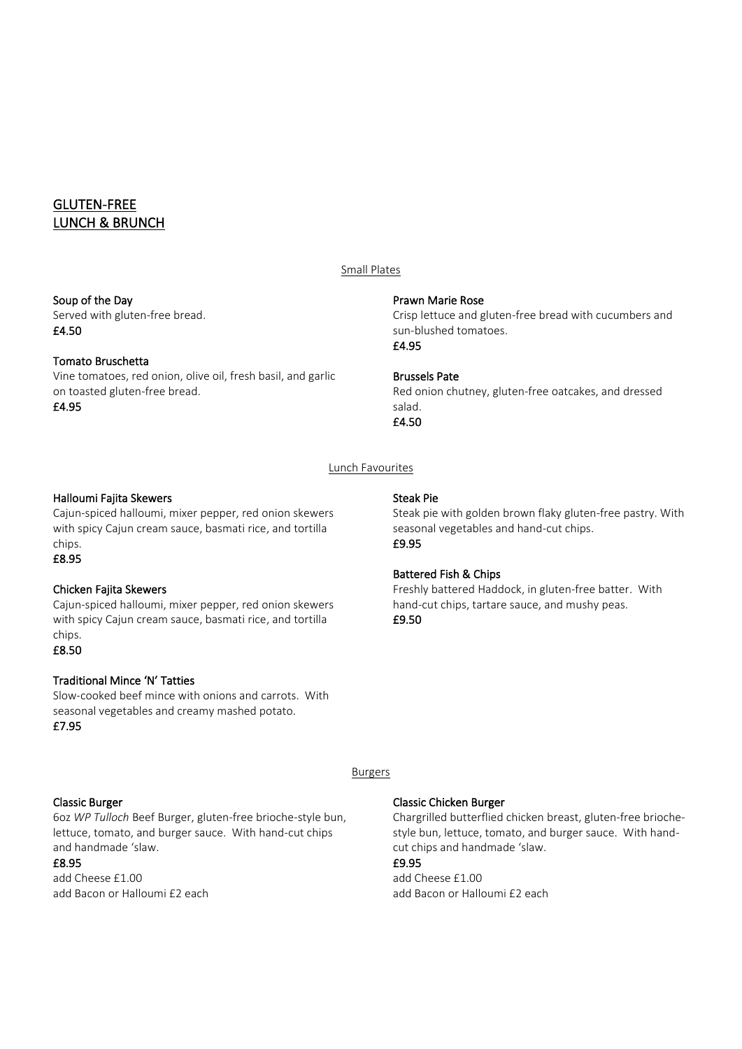# GLUTEN-FREE LUNCH & BRUNCH

#### Soup of the Day

Served with gluten-free bread. £4.50

## Tomato Bruschetta

Vine tomatoes, red onion, olive oil, fresh basil, and garlic on toasted gluten-free bread. £4.95

## Small Plates

#### Prawn Marie Rose

Crisp lettuce and gluten-free bread with cucumbers and sun-blushed tomatoes. £4.95

## Brussels Pate

Steak Pie

£9.95

£9.50

Red onion chutney, gluten-free oatcakes, and dressed salad. £4.50

Steak pie with golden brown flaky gluten-free pastry. With

Freshly battered Haddock, in gluten-free batter. With hand-cut chips, tartare sauce, and mushy peas.

seasonal vegetables and hand-cut chips.

## Lunch Favourites

## Halloumi Fajita Skewers

Cajun-spiced halloumi, mixer pepper, red onion skewers with spicy Cajun cream sauce, basmati rice, and tortilla chips.

## £8.95

## Chicken Fajita Skewers

Cajun-spiced halloumi, mixer pepper, red onion skewers with spicy Cajun cream sauce, basmati rice, and tortilla chips. £8.50

## Traditional Mince 'N' Tatties

Slow-cooked beef mince with onions and carrots. With seasonal vegetables and creamy mashed potato. £7.95

# Burgers

## Classic Burger

6oz *WP Tulloch* Beef Burger, gluten-free brioche-style bun, lettuce, tomato, and burger sauce. With hand-cut chips and handmade 'slaw.

## £8.95

add Cheese £1.00 add Bacon or Halloumi £2 each

#### Classic Chicken Burger

Battered Fish & Chips

Chargrilled butterflied chicken breast, gluten-free briochestyle bun, lettuce, tomato, and burger sauce. With handcut chips and handmade 'slaw.

## £9.95

add Cheese £1.00 add Bacon or Halloumi £2 each